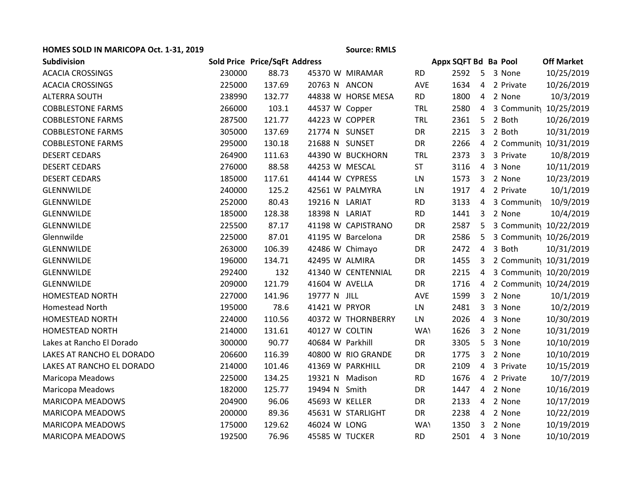## **HOMES SOLD IN MARICOPA Oct. 1-31, 2019 Source: RMLS**

| <b>Subdivision</b>        |        | Sold Price Price/SqFt Address |                  |                    |            | Appx SQFT Bd Ba Pool |                |             | <b>Off Market</b>                    |
|---------------------------|--------|-------------------------------|------------------|--------------------|------------|----------------------|----------------|-------------|--------------------------------------|
| <b>ACACIA CROSSINGS</b>   | 230000 | 88.73                         |                  | 45370 W MIRAMAR    | <b>RD</b>  | 2592                 |                | 5 3 None    | 10/25/2019                           |
| <b>ACACIA CROSSINGS</b>   | 225000 | 137.69                        | 20763 N ANCON    |                    | <b>AVE</b> | 1634                 | $\overline{4}$ | 2 Private   | 10/26/2019                           |
| <b>ALTERRA SOUTH</b>      | 238990 | 132.77                        |                  | 44838 W HORSE MESA | <b>RD</b>  | 1800                 |                | 4 2 None    | 10/3/2019                            |
| <b>COBBLESTONE FARMS</b>  | 266000 | 103.1                         | 44537 W Copper   |                    | TRL        | 2580                 | $\overline{4}$ |             | 3 Communit <sub>)</sub> 10/25/2019   |
| <b>COBBLESTONE FARMS</b>  | 287500 | 121.77                        | 44223 W COPPER   |                    | TRL        | 2361                 | 5              | 2 Both      | 10/26/2019                           |
| <b>COBBLESTONE FARMS</b>  | 305000 | 137.69                        | 21774 N SUNSET   |                    | DR         | 2215                 | 3              | 2 Both      | 10/31/2019                           |
| <b>COBBLESTONE FARMS</b>  | 295000 | 130.18                        | 21688 N SUNSET   |                    | DR         | 2266                 |                |             | 4 2 Communit <sub>1</sub> 10/31/2019 |
| <b>DESERT CEDARS</b>      | 264900 | 111.63                        |                  | 44390 W BUCKHORN   | TRL        | 2373                 | $\mathbf{3}$   | 3 Private   | 10/8/2019                            |
| <b>DESERT CEDARS</b>      | 276000 | 88.58                         | 44253 W MESCAL   |                    | <b>ST</b>  | 3116                 | $\overline{4}$ | 3 None      | 10/11/2019                           |
| <b>DESERT CEDARS</b>      | 185000 | 117.61                        | 44144 W CYPRESS  |                    | LN         | 1573                 | 3              | 2 None      | 10/23/2019                           |
| <b>GLENNWILDE</b>         | 240000 | 125.2                         |                  | 42561 W PALMYRA    | LN         | 1917                 | $\overline{4}$ | 2 Private   | 10/1/2019                            |
| GLENNWILDE                | 252000 | 80.43                         | 19216 N LARIAT   |                    | <b>RD</b>  | 3133                 | 4              | 3 Community | 10/9/2019                            |
| GLENNWILDE                | 185000 | 128.38                        | 18398 N LARIAT   |                    | <b>RD</b>  | 1441                 | 3              | 2 None      | 10/4/2019                            |
| GLENNWILDE                | 225500 | 87.17                         |                  | 41198 W CAPISTRANO | DR         | 2587                 | 5              |             | 3 Communit <sub>1</sub> 10/22/2019   |
| Glennwilde                | 225000 | 87.01                         |                  | 41195 W Barcelona  | DR         | 2586                 | 5              |             | 3 Communit <sub>)</sub> 10/26/2019   |
| GLENNWILDE                | 263000 | 106.39                        | 42486 W Chimayo  |                    | DR         | 2472                 | $\overline{4}$ | 3 Both      | 10/31/2019                           |
| GLENNWILDE                | 196000 | 134.71                        | 42495 W ALMIRA   |                    | DR         | 1455                 | 3              |             | 2 Communit <sub>)</sub> 10/31/2019   |
| <b>GLENNWILDE</b>         | 292400 | 132                           |                  | 41340 W CENTENNIAL | DR         | 2215                 | 4              |             | 3 Communit <sub>1</sub> 10/20/2019   |
| GLENNWILDE                | 209000 | 121.79                        | 41604 W AVELLA   |                    | DR         | 1716                 | 4              |             | 2 Communit <sub>1</sub> 10/24/2019   |
| <b>HOMESTEAD NORTH</b>    | 227000 | 141.96                        | 19777 N JILL     |                    | <b>AVE</b> | 1599                 | 3              | 2 None      | 10/1/2019                            |
| <b>Homestead North</b>    | 195000 | 78.6                          | 41421 W PRYOR    |                    | LN         | 2481                 | 3              | 3 None      | 10/2/2019                            |
| <b>HOMESTEAD NORTH</b>    | 224000 | 110.56                        |                  | 40372 W THORNBERRY | LN         | 2026                 | $\overline{4}$ | 3 None      | 10/30/2019                           |
| <b>HOMESTEAD NORTH</b>    | 214000 | 131.61                        | 40127 W COLTIN   |                    | <b>WAY</b> | 1626                 | 3              | 2 None      | 10/31/2019                           |
| Lakes at Rancho El Dorado | 300000 | 90.77                         | 40684 W Parkhill |                    | DR         | 3305                 | 5              | 3 None      | 10/10/2019                           |
| LAKES AT RANCHO EL DORADO | 206600 | 116.39                        |                  | 40800 W RIO GRANDE | DR         | 1775                 | 3              | 2 None      | 10/10/2019                           |
| LAKES AT RANCHO EL DORADO | 214000 | 101.46                        | 41369 W PARKHILL |                    | DR         | 2109                 | 4              | 3 Private   | 10/15/2019                           |
| Maricopa Meadows          | 225000 | 134.25                        | 19321 N Madison  |                    | <b>RD</b>  | 1676                 |                | 4 2 Private | 10/7/2019                            |
| Maricopa Meadows          | 182000 | 125.77                        | 19494 N Smith    |                    | DR         | 1447                 | 4              | 2 None      | 10/16/2019                           |
| <b>MARICOPA MEADOWS</b>   | 204900 | 96.06                         | 45693 W KELLER   |                    | DR         | 2133                 | $\overline{4}$ | 2 None      | 10/17/2019                           |
| <b>MARICOPA MEADOWS</b>   | 200000 | 89.36                         |                  | 45631 W STARLIGHT  | DR         | 2238                 | 4              | 2 None      | 10/22/2019                           |
| <b>MARICOPA MEADOWS</b>   | 175000 | 129.62                        | 46024 W LONG     |                    | WA\        | 1350                 | 3              | 2 None      | 10/19/2019                           |
| <b>MARICOPA MEADOWS</b>   | 192500 | 76.96                         | 45585 W TUCKER   |                    | <b>RD</b>  | 2501                 |                | 4 3 None    | 10/10/2019                           |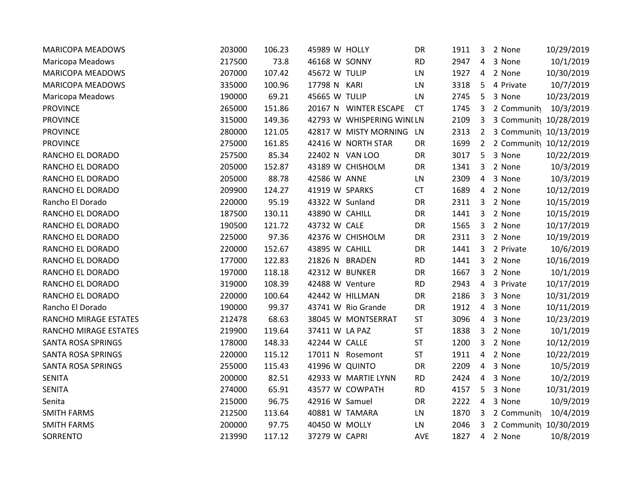| <b>MARICOPA MEADOWS</b>   | 203000 | 106.23 | 45989 W HOLLY   |                            | DR        | 1911 | 3              | 2 None                             | 10/29/2019 |
|---------------------------|--------|--------|-----------------|----------------------------|-----------|------|----------------|------------------------------------|------------|
| <b>Maricopa Meadows</b>   | 217500 | 73.8   | 46168 W SONNY   |                            | <b>RD</b> | 2947 | 4              | 3 None                             | 10/1/2019  |
| <b>MARICOPA MEADOWS</b>   | 207000 | 107.42 | 45672 W TULIP   |                            | LN        | 1927 | $\overline{4}$ | 2 None                             | 10/30/2019 |
| <b>MARICOPA MEADOWS</b>   | 335000 | 100.96 | 17798 N KARI    |                            | LN        | 3318 | 5              | 4 Private                          | 10/7/2019  |
| Maricopa Meadows          | 190000 | 69.21  | 45665 W TULIP   |                            | LN        | 2745 | 5              | 3 None                             | 10/23/2019 |
| <b>PROVINCE</b>           | 265000 | 151.86 |                 | 20167 N WINTER ESCAPE      | <b>CT</b> | 1745 | 3              | 2 Community                        | 10/3/2019  |
| <b>PROVINCE</b>           | 315000 | 149.36 |                 | 42793 W WHISPERING WINI LN |           | 2109 | 3              | 3 Communit <sub>1</sub> 10/28/2019 |            |
| <b>PROVINCE</b>           | 280000 | 121.05 |                 | 42817 W MISTY MORNING      | LN        | 2313 | $2^{\circ}$    | 3 Communit <sub>1</sub> 10/13/2019 |            |
| <b>PROVINCE</b>           | 275000 | 161.85 |                 | 42416 W NORTH STAR         | DR        | 1699 | $2^{\circ}$    | 2 Communit <sub>)</sub> 10/12/2019 |            |
| RANCHO EL DORADO          | 257500 | 85.34  | 22402 N VAN LOO |                            | DR        | 3017 | 5              | 3 None                             | 10/22/2019 |
| RANCHO EL DORADO          | 205000 | 152.87 |                 | 43189 W CHISHOLM           | DR        | 1341 | 3              | 2 None                             | 10/3/2019  |
| RANCHO EL DORADO          | 205000 | 88.78  | 42586 W ANNE    |                            | LN        | 2309 | $\overline{4}$ | 3 None                             | 10/3/2019  |
| RANCHO EL DORADO          | 209900 | 124.27 | 41919 W SPARKS  |                            | <b>CT</b> | 1689 |                | 4 2 None                           | 10/12/2019 |
| Rancho El Dorado          | 220000 | 95.19  | 43322 W Sunland |                            | DR        | 2311 | 3              | 2 None                             | 10/15/2019 |
| RANCHO EL DORADO          | 187500 | 130.11 | 43890 W CAHILL  |                            | DR        | 1441 | 3              | 2 None                             | 10/15/2019 |
| RANCHO EL DORADO          | 190500 | 121.72 | 43732 W CALE    |                            | DR        | 1565 | 3              | 2 None                             | 10/17/2019 |
| RANCHO EL DORADO          | 225000 | 97.36  |                 | 42376 W CHISHOLM           | DR        | 2311 | 3              | 2 None                             | 10/19/2019 |
| RANCHO EL DORADO          | 220000 | 152.67 | 43895 W CAHILL  |                            | DR        | 1441 | 3              | 2 Private                          | 10/6/2019  |
| RANCHO EL DORADO          | 177000 | 122.83 | 21826 N BRADEN  |                            | <b>RD</b> | 1441 | 3              | 2 None                             | 10/16/2019 |
| RANCHO EL DORADO          | 197000 | 118.18 | 42312 W BUNKER  |                            | DR        | 1667 | 3              | 2 None                             | 10/1/2019  |
| RANCHO EL DORADO          | 319000 | 108.39 | 42488 W Venture |                            | <b>RD</b> | 2943 | $\overline{4}$ | 3 Private                          | 10/17/2019 |
| RANCHO EL DORADO          | 220000 | 100.64 |                 | 42442 W HILLMAN            | DR        | 2186 | $\mathbf{3}$   | 3 None                             | 10/31/2019 |
| Rancho El Dorado          | 190000 | 99.37  |                 | 43741 W Rio Grande         | DR        | 1912 | $\overline{4}$ | 3 None                             | 10/11/2019 |
| RANCHO MIRAGE ESTATES     | 212478 | 68.63  |                 | 38045 W MONTSERRAT         | <b>ST</b> | 3096 | 4              | 3 None                             | 10/23/2019 |
| RANCHO MIRAGE ESTATES     | 219900 | 119.64 | 37411 W LA PAZ  |                            | <b>ST</b> | 1838 | 3              | 2 None                             | 10/1/2019  |
| <b>SANTA ROSA SPRINGS</b> | 178000 | 148.33 | 42244 W CALLE   |                            | <b>ST</b> | 1200 | 3              | 2 None                             | 10/12/2019 |
| <b>SANTA ROSA SPRINGS</b> | 220000 | 115.12 |                 | 17011 N Rosemont           | <b>ST</b> | 1911 | $\overline{4}$ | 2 None                             | 10/22/2019 |
| SANTA ROSA SPRINGS        | 255000 | 115.43 | 41996 W QUINTO  |                            | DR        | 2209 | 4              | 3 None                             | 10/5/2019  |
| <b>SENITA</b>             | 200000 | 82.51  |                 | 42933 W MARTIE LYNN        | <b>RD</b> | 2424 | 4              | 3 None                             | 10/2/2019  |
| <b>SENITA</b>             | 274000 | 65.91  |                 | 43577 W COWPATH            | <b>RD</b> | 4157 | 5              | 3 None                             | 10/31/2019 |
| Senita                    | 215000 | 96.75  | 42916 W Samuel  |                            | DR        | 2222 | 4              | 3 None                             | 10/9/2019  |
| <b>SMITH FARMS</b>        | 212500 | 113.64 | 40881 W TAMARA  |                            | LN        | 1870 | 3              | 2 Community                        | 10/4/2019  |
| <b>SMITH FARMS</b>        | 200000 | 97.75  | 40450 W MOLLY   |                            | LN        | 2046 | 3              | 2 Communit <sub>)</sub> 10/30/2019 |            |
| SORRENTO                  | 213990 | 117.12 | 37279 W CAPRI   |                            | AVE       | 1827 | $\overline{4}$ | 2 None                             | 10/8/2019  |